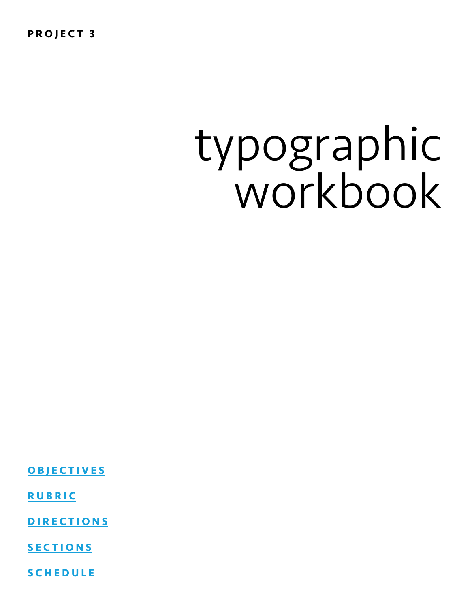<span id="page-0-0"></span>**PROJECT 3**

## typographic workbook

**[OBJECTIVES](#page-1-0)**

**[RUBRIC](#page-2-0)**

**[DIRECTIONS](#page-3-0)**

**[SECTIONS](#page-4-0)**

**[SCHEDULE](#page-5-0)**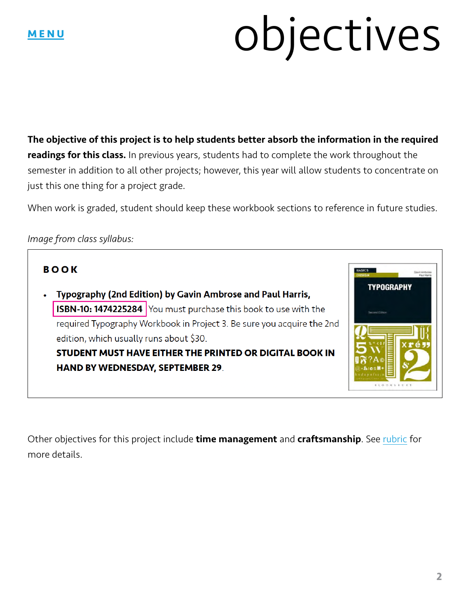# objectives

<span id="page-1-0"></span>The objective of this project is to help students better absorb the information in the required readings for this class. In previous years, students had to complete the work throughout the semester in addition to all other projects; however, this year will allow students to concentrate on just this one thing for a project grade.

When work is graded, student should keep these workbook sections to reference in future studies.

#### *Image from class syllabus:*



Other objectives for this project include time management and craftsmanship. See [rubric](#page-2-0) for more details.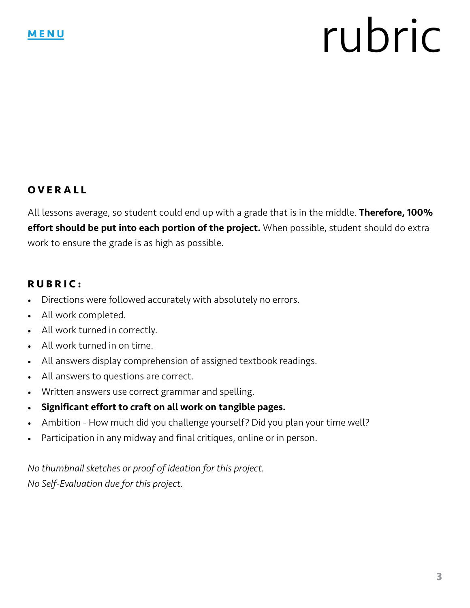# rubric

### <span id="page-2-0"></span>**O V E R A L L**

All lessons average, so student could end up with a grade that is in the middle. **Therefore, 100%** effort should be put into each portion of the project. When possible, student should do extra work to ensure the grade is as high as possible.

### **RUBRIC:**

- Directions were followed accurately with absolutely no errors.
- All work completed.
- All work turned in correctly.
- All work turned in on time.
- All answers display comprehension of assigned textbook readings.
- All answers to questions are correct.
- Written answers use correct grammar and spelling.
- Significant effort to craft on all work on tangible pages.
- Ambition How much did you challenge yourself? Did you plan your time well?
- Participation in any midway and final critiques, online or in person.

*No thumbnail sketches or proof of ideation for this project. No Self-Evaluation due for this project.*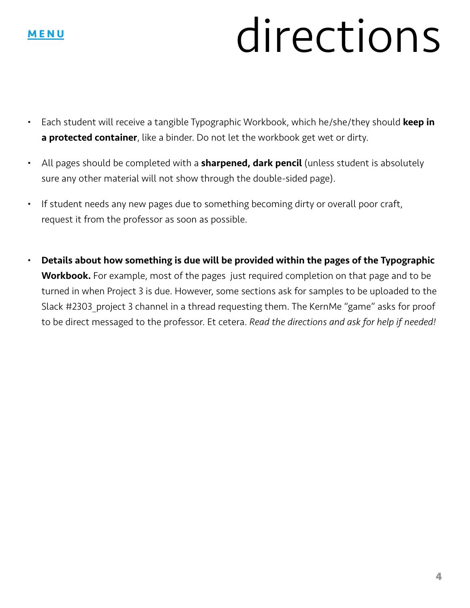# directions

- <span id="page-3-0"></span>• Each student will receive a tangible Typographic Workbook, which he/she/they should **keep in** a protected container, like a binder. Do not let the workbook get wet or dirty.
- All pages should be completed with a **sharpened, dark pencil** (unless student is absolutely sure any other material will not show through the double-sided page).
- If student needs any new pages due to something becoming dirty or overall poor craft, request it from the professor as soon as possible.
- Details about how something is due will be provided within the pages of the Typographic Workbook. For example, most of the pages just required completion on that page and to be turned in when Project 3 is due. However, some sections ask for samples to be uploaded to the Slack #2303 project 3 channel in a thread requesting them. The KernMe "game" asks for proof to be direct messaged to the professor. Et cetera. *Read the directions and ask for help if needed!*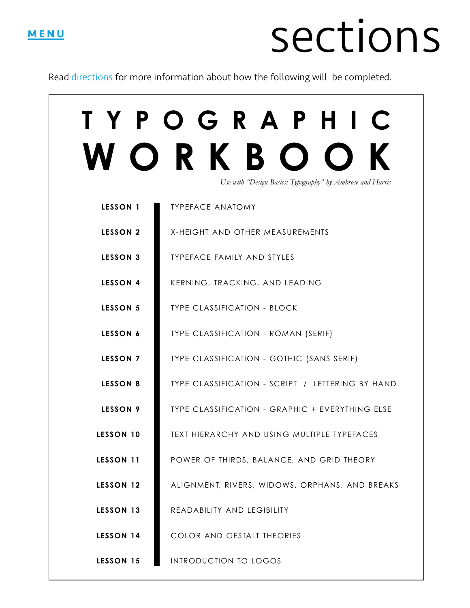## sections

<span id="page-4-0"></span>Read [directions](#page-3-0) for more information about how the following will be completed.

| TYPOGRAPHIC<br><b>IORKBOO</b><br>K<br>Use with "Design Basics: Typography" by Ambrose and Harris |                                                  |
|--------------------------------------------------------------------------------------------------|--------------------------------------------------|
| <b>LESSON 1</b>                                                                                  | <b>TYPEFACE ANATOMY</b>                          |
| LESSON 2                                                                                         | X-HEIGHT AND OTHER MEASUREMENTS                  |
| LESSON 3                                                                                         | <b>TYPEFACE FAMILY AND STYLES</b>                |
| <b>LESSON 4</b>                                                                                  | KERNING, TRACKING, AND LEADING                   |
| <b>LESSON 5</b>                                                                                  | <b>TYPE CLASSIFICATION - BLOCK</b>               |
| LESSON 6                                                                                         | TYPE CLASSIFICATION - ROMAN (SERIF)              |
| <b>LESSON 7</b>                                                                                  | TYPE CLASSIFICATION - GOTHIC (SANS SERIF)        |
| <b>LESSON 8</b>                                                                                  | TYPE CLASSIFICATION - SCRIPT / LETTERING BY HAND |
| LESSON 9                                                                                         | TYPE CLASSIFICATION - GRAPHIC + EVERYTHING ELSE  |
| <b>LESSON 10</b>                                                                                 | TEXT HIERARCHY AND USING MULTIPLE TYPEFACES      |
| <b>LESSON 11</b>                                                                                 | POWER OF THIRDS, BALANCE, AND GRID THEORY        |
| <b>LESSON 12</b>                                                                                 | ALIGNMENT, RIVERS, WIDOWS, ORPHANS, AND BREAKS   |
| <b>LESSON 13</b>                                                                                 | READABILITY AND LEGIBILITY                       |
| <b>LESSON 14</b>                                                                                 | COLOR AND GESTALT THEORIES                       |
| <b>LESSON 15</b>                                                                                 | INTRODUCTION TO LOGOS                            |